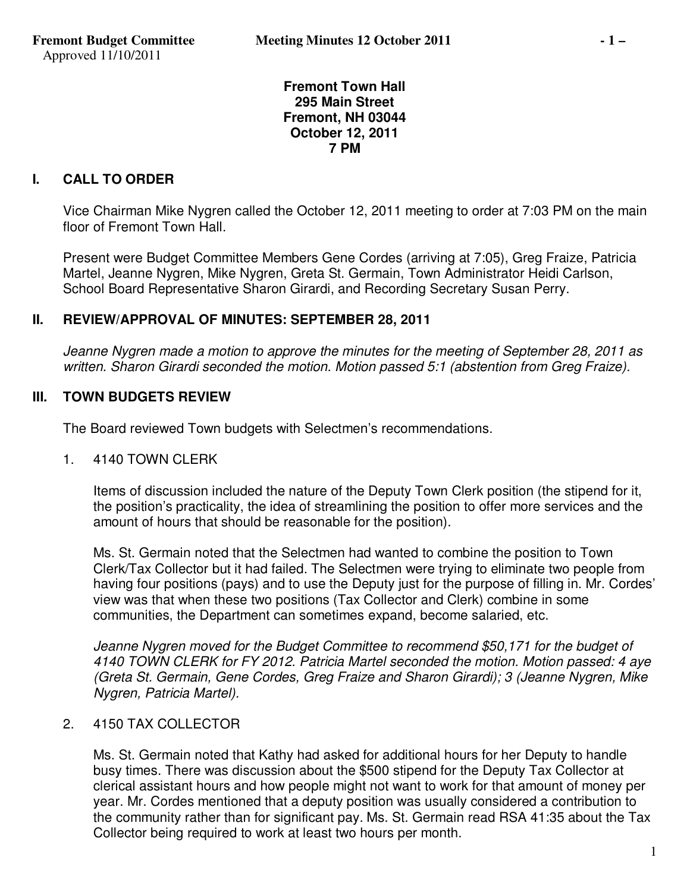#### **Fremont Town Hall 295 Main Street Fremont, NH 03044 October 12, 2011 7 PM**

# **I. CALL TO ORDER**

Vice Chairman Mike Nygren called the October 12, 2011 meeting to order at 7:03 PM on the main floor of Fremont Town Hall.

Present were Budget Committee Members Gene Cordes (arriving at 7:05), Greg Fraize, Patricia Martel, Jeanne Nygren, Mike Nygren, Greta St. Germain, Town Administrator Heidi Carlson, School Board Representative Sharon Girardi, and Recording Secretary Susan Perry.

### **II. REVIEW/APPROVAL OF MINUTES: SEPTEMBER 28, 2011**

*Jeanne Nygren made a motion to approve the minutes for the meeting of September 28, 2011 as written. Sharon Girardi seconded the motion. Motion passed 5:1 (abstention from Greg Fraize).* 

# **III. TOWN BUDGETS REVIEW**

The Board reviewed Town budgets with Selectmen's recommendations.

1. 4140 TOWN CLERK

Items of discussion included the nature of the Deputy Town Clerk position (the stipend for it, the position's practicality, the idea of streamlining the position to offer more services and the amount of hours that should be reasonable for the position).

Ms. St. Germain noted that the Selectmen had wanted to combine the position to Town Clerk/Tax Collector but it had failed. The Selectmen were trying to eliminate two people from having four positions (pays) and to use the Deputy just for the purpose of filling in. Mr. Cordes' view was that when these two positions (Tax Collector and Clerk) combine in some communities, the Department can sometimes expand, become salaried, etc.

*Jeanne Nygren moved for the Budget Committee to recommend \$50,171 for the budget of 4140 TOWN CLERK for FY 2012. Patricia Martel seconded the motion. Motion passed: 4 aye (Greta St. Germain, Gene Cordes, Greg Fraize and Sharon Girardi); 3 (Jeanne Nygren, Mike Nygren, Patricia Martel).* 

#### 2. 4150 TAX COLLECTOR

Ms. St. Germain noted that Kathy had asked for additional hours for her Deputy to handle busy times. There was discussion about the \$500 stipend for the Deputy Tax Collector at clerical assistant hours and how people might not want to work for that amount of money per year. Mr. Cordes mentioned that a deputy position was usually considered a contribution to the community rather than for significant pay. Ms. St. Germain read RSA 41:35 about the Tax Collector being required to work at least two hours per month.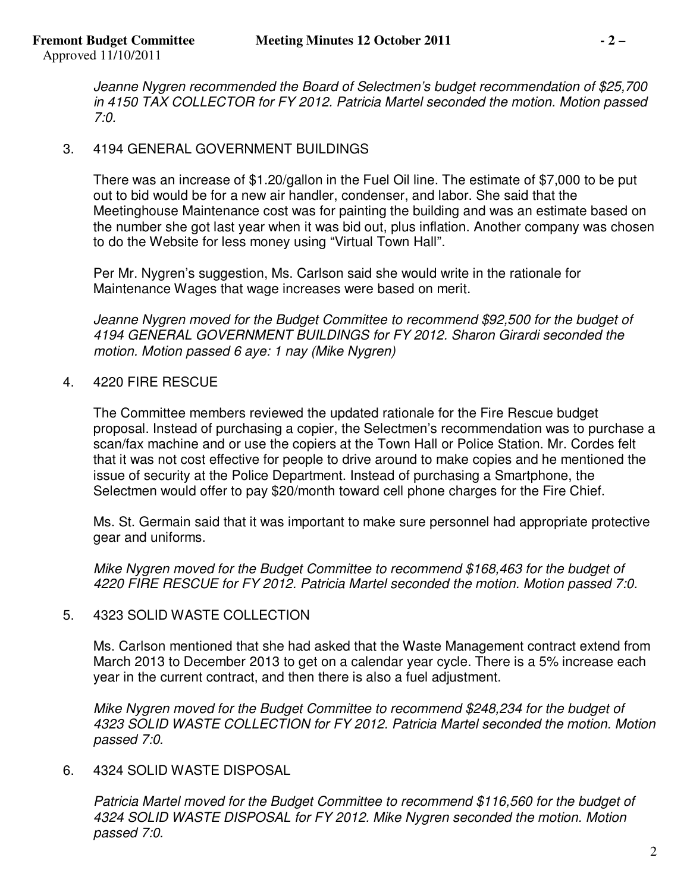*Jeanne Nygren recommended the Board of Selectmen's budget recommendation of \$25,700 in 4150 TAX COLLECTOR for FY 2012. Patricia Martel seconded the motion. Motion passed 7:0.* 

### 3. 4194 GENERAL GOVERNMENT BUILDINGS

There was an increase of \$1.20/gallon in the Fuel Oil line. The estimate of \$7,000 to be put out to bid would be for a new air handler, condenser, and labor. She said that the Meetinghouse Maintenance cost was for painting the building and was an estimate based on the number she got last year when it was bid out, plus inflation. Another company was chosen to do the Website for less money using "Virtual Town Hall".

Per Mr. Nygren's suggestion, Ms. Carlson said she would write in the rationale for Maintenance Wages that wage increases were based on merit.

*Jeanne Nygren moved for the Budget Committee to recommend \$92,500 for the budget of 4194 GENERAL GOVERNMENT BUILDINGS for FY 2012. Sharon Girardi seconded the motion. Motion passed 6 aye: 1 nay (Mike Nygren)* 

4. 4220 FIRE RESCUE

The Committee members reviewed the updated rationale for the Fire Rescue budget proposal. Instead of purchasing a copier, the Selectmen's recommendation was to purchase a scan/fax machine and or use the copiers at the Town Hall or Police Station. Mr. Cordes felt that it was not cost effective for people to drive around to make copies and he mentioned the issue of security at the Police Department. Instead of purchasing a Smartphone, the Selectmen would offer to pay \$20/month toward cell phone charges for the Fire Chief.

Ms. St. Germain said that it was important to make sure personnel had appropriate protective gear and uniforms.

*Mike Nygren moved for the Budget Committee to recommend \$168,463 for the budget of 4220 FIRE RESCUE for FY 2012. Patricia Martel seconded the motion. Motion passed 7:0.* 

# 5. 4323 SOLID WASTE COLLECTION

Ms. Carlson mentioned that she had asked that the Waste Management contract extend from March 2013 to December 2013 to get on a calendar year cycle. There is a 5% increase each year in the current contract, and then there is also a fuel adjustment.

*Mike Nygren moved for the Budget Committee to recommend \$248,234 for the budget of 4323 SOLID WASTE COLLECTION for FY 2012. Patricia Martel seconded the motion. Motion passed 7:0.* 

#### 6. 4324 SOLID WASTE DISPOSAL

*Patricia Martel moved for the Budget Committee to recommend \$116,560 for the budget of 4324 SOLID WASTE DISPOSAL for FY 2012. Mike Nygren seconded the motion. Motion passed 7:0.*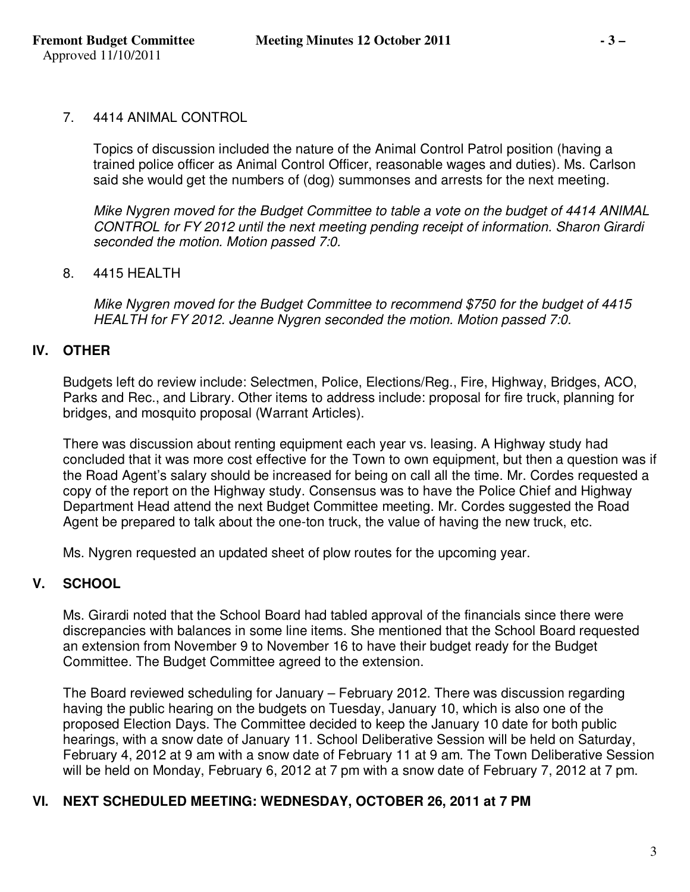#### 7. 4414 ANIMAL CONTROL

Topics of discussion included the nature of the Animal Control Patrol position (having a trained police officer as Animal Control Officer, reasonable wages and duties). Ms. Carlson said she would get the numbers of (dog) summonses and arrests for the next meeting.

*Mike Nygren moved for the Budget Committee to table a vote on the budget of 4414 ANIMAL CONTROL for FY 2012 until the next meeting pending receipt of information. Sharon Girardi seconded the motion. Motion passed 7:0.* 

### 8. 4415 HEALTH

*Mike Nygren moved for the Budget Committee to recommend \$750 for the budget of 4415 HEALTH for FY 2012. Jeanne Nygren seconded the motion. Motion passed 7:0.*

# **IV. OTHER**

Budgets left do review include: Selectmen, Police, Elections/Reg., Fire, Highway, Bridges, ACO, Parks and Rec., and Library. Other items to address include: proposal for fire truck, planning for bridges, and mosquito proposal (Warrant Articles).

There was discussion about renting equipment each year vs. leasing. A Highway study had concluded that it was more cost effective for the Town to own equipment, but then a question was if the Road Agent's salary should be increased for being on call all the time. Mr. Cordes requested a copy of the report on the Highway study. Consensus was to have the Police Chief and Highway Department Head attend the next Budget Committee meeting. Mr. Cordes suggested the Road Agent be prepared to talk about the one-ton truck, the value of having the new truck, etc.

Ms. Nygren requested an updated sheet of plow routes for the upcoming year.

# **V. SCHOOL**

Ms. Girardi noted that the School Board had tabled approval of the financials since there were discrepancies with balances in some line items. She mentioned that the School Board requested an extension from November 9 to November 16 to have their budget ready for the Budget Committee. The Budget Committee agreed to the extension.

The Board reviewed scheduling for January – February 2012. There was discussion regarding having the public hearing on the budgets on Tuesday, January 10, which is also one of the proposed Election Days. The Committee decided to keep the January 10 date for both public hearings, with a snow date of January 11. School Deliberative Session will be held on Saturday, February 4, 2012 at 9 am with a snow date of February 11 at 9 am. The Town Deliberative Session will be held on Monday, February 6, 2012 at 7 pm with a snow date of February 7, 2012 at 7 pm.

# **VI. NEXT SCHEDULED MEETING: WEDNESDAY, OCTOBER 26, 2011 at 7 PM**